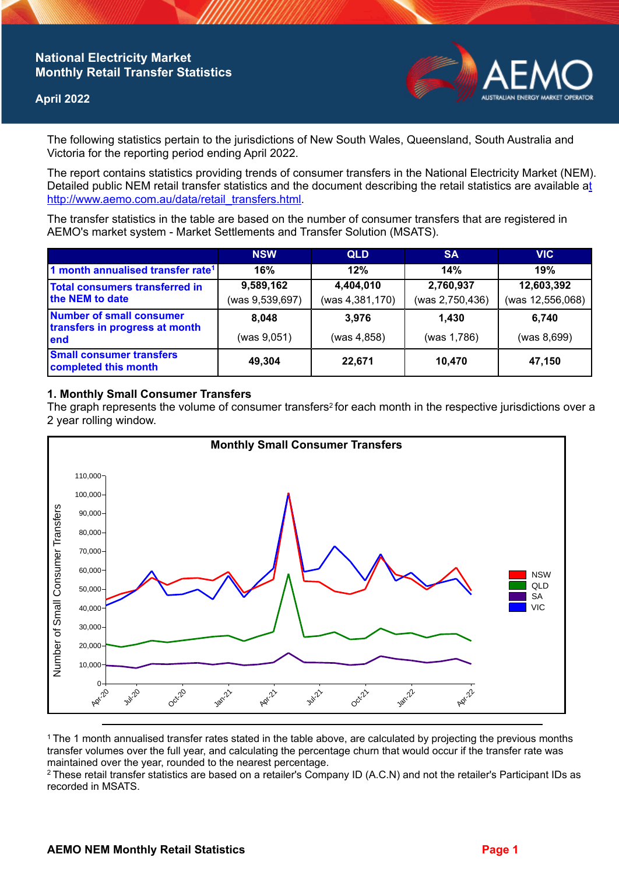# **National Electricity Market Monthly Retail Transfer Statistics**

### **April 2022**



The following statistics pertain to the jurisdictions of New South Wales, Queensland, South Australia and Victoria for the reporting period ending April 2022.

The report contains statistics providing trends of consumer transfers in the National Electricity Market (NEM). Detailed public NEM retail transfer statistics and the document describing the retail statistics are available a[t](http://www.aemo.com.au/data/retail_transfers.html)  http://www.aemo.com.au/data/retail\_transfers.html

The transfer statistics in the table are based on the number of consumer transfers that are registered in AEMO's market system - Market Settlements and Transfer Solution (MSATS).

|                                                                           | <b>NSW</b>      | <b>QLD</b>      | <b>SA</b>       | <b>VIC</b>       |
|---------------------------------------------------------------------------|-----------------|-----------------|-----------------|------------------|
| 1 month annualised transfer rate <sup>1</sup>                             | 16%             | 12%             | 14%             | 19%              |
| <b>Total consumers transferred in</b><br>the NEM to date                  | 9,589,162       | 4,404,010       | 2,760,937       | 12,603,392       |
|                                                                           | (was 9,539,697) | (was 4,381,170) | (was 2,750,436) | (was 12,556,068) |
| <b>Number of small consumer</b><br>transfers in progress at month<br>lend | 8.048           | 3,976           | 1.430           | 6.740            |
|                                                                           | (was 9,051)     | (was 4,858)     | (was 1,786)     | (was 8,699)      |
| <b>Small consumer transfers</b><br>completed this month                   | 49,304          | 22,671          | 10,470          | 47,150           |

#### **1. Monthly Small Consumer Transfers**

The graph represents the volume of consumer transfers<sup>2</sup> for each month in the respective jurisdictions over a 2 year rolling window.



<sup>1</sup>The 1 month annualised transfer rates stated in the table above, are calculated by projecting the previous months transfer volumes over the full year, and calculating the percentage churn that would occur if the transfer rate was maintained over the year, rounded to the nearest percentage.

<sup>2</sup> These retail transfer statistics are based on a retailer's Company ID (A.C.N) and not the retailer's Participant IDs as recorded in MSATS.